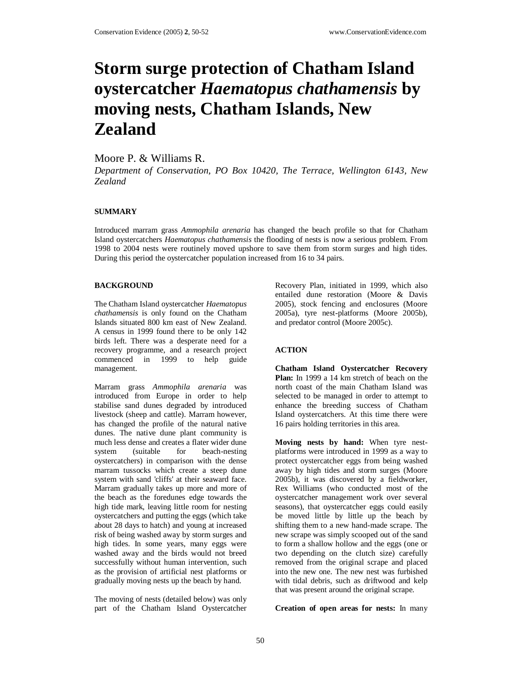# **Storm surge protection of Chatham Island oystercatcher** *Haematopus chathamensis* **by moving nests, Chatham Islands, New Zealand**

## Moore P. & Williams R.

*Department of Conservation, PO Box 10420, The Terrace, Wellington 6143, New Zealand* 

## **SUMMARY**

Introduced marram grass *Ammophila arenaria* has changed the beach profile so that for Chatham Island oystercatchers *Haematopus chathamensis* the flooding of nests is now a serious problem. From 1998 to 2004 nests were routinely moved upshore to save them from storm surges and high tides. During this period the oystercatcher population increased from 16 to 34 pairs.

#### **BACKGROUND**

The Chatham Island oystercatcher *Haematopus chathamensis* is only found on the Chatham Islands situated 800 km east of New Zealand. A census in 1999 found there to be only 142 birds left. There was a desperate need for a recovery programme, and a research project commenced in 1999 to help guide management.

Marram grass *Ammophila arenaria* was introduced from Europe in order to help stabilise sand dunes degraded by introduced livestock (sheep and cattle). Marram however, has changed the profile of the natural native dunes. The native dune plant community is much less dense and creates a flater wider dune system (suitable for beach-nesting oystercatchers) in comparison with the dense marram tussocks which create a steep dune system with sand 'cliffs' at their seaward face. Marram gradually takes up more and more of the beach as the foredunes edge towards the high tide mark, leaving little room for nesting oystercatchers and putting the eggs (which take about 28 days to hatch) and young at increased risk of being washed away by storm surges and high tides. In some years, many eggs were washed away and the birds would not breed successfully without human intervention, such as the provision of artificial nest platforms or gradually moving nests up the beach by hand.

The moving of nests (detailed below) was only part of the Chatham Island Oystercatcher

Recovery Plan, initiated in 1999, which also entailed dune restoration (Moore & Davis 2005), stock fencing and enclosures (Moore 2005a), tyre nest-platforms (Moore 2005b), and predator control (Moore 2005c).

## **ACTION**

**Chatham Island Oystercatcher Recovery Plan:** In 1999 a 14 km stretch of beach on the north coast of the main Chatham Island was selected to be managed in order to attempt to enhance the breeding success of Chatham Island oystercatchers. At this time there were 16 pairs holding territories in this area.

**Moving nests by hand:** When tyre nestplatforms were introduced in 1999 as a way to protect oystercatcher eggs from being washed away by high tides and storm surges (Moore 2005b), it was discovered by a fieldworker, Rex Williams (who conducted most of the oystercatcher management work over several seasons), that oystercatcher eggs could easily be moved little by little up the beach by shifting them to a new hand-made scrape. The new scrape was simply scooped out of the sand to form a shallow hollow and the eggs (one or two depending on the clutch size) carefully removed from the original scrape and placed into the new one. The new nest was furbished with tidal debris, such as driftwood and kelp that was present around the original scrape.

**Creation of open areas for nests:** In many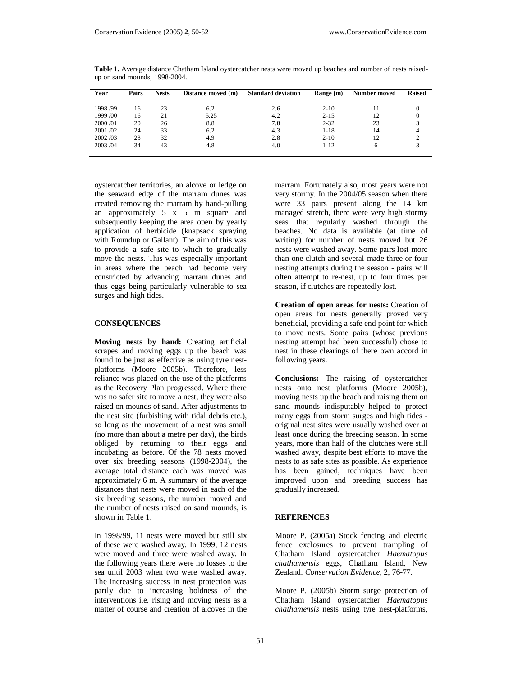| Year     | Pairs | <b>Nests</b> | Distance moved (m) | <b>Standard deviation</b> | Range (m) | Number moved | <b>Raised</b> |
|----------|-------|--------------|--------------------|---------------------------|-----------|--------------|---------------|
|          |       |              |                    |                           |           |              |               |
| 1998 /99 | 16    | 23           | 6.2                | 2.6                       | $2 - 10$  |              | O             |
| 1999 /00 | 16    | 21           | 5.25               | 4.2                       | $2 - 15$  | 12           | $\theta$      |
| 2000/01  | 20    | 26           | 8.8                | 7.8                       | $2 - 32$  | 23           |               |
| 2001/02  | 24    | 33           | 6.2                | 4.3                       | $1 - 18$  | 14           |               |
| 2002/03  | 28    | 32           | 4.9                | 2.8                       | $2 - 10$  | 12           |               |
| 2003/04  | 34    | 43           | 4.8                | 4.0                       | $1 - 12$  | <sub>6</sub> |               |
|          |       |              |                    |                           |           |              |               |

**Table 1.** Average distance Chatham Island oystercatcher nests were moved up beaches and number of nests raisedup on sand mounds, 1998-2004.

oystercatcher territories, an alcove or ledge on the seaward edge of the marram dunes was created removing the marram by hand-pulling an approximately 5 x 5 m square and subsequently keeping the area open by yearly application of herbicide (knapsack spraying with Roundup or Gallant). The aim of this was to provide a safe site to which to gradually move the nests. This was especially important in areas where the beach had become very constricted by advancing marram dunes and thus eggs being particularly vulnerable to sea surges and high tides.

#### **CONSEQUENCES**

**Moving nests by hand:** Creating artificial scrapes and moving eggs up the beach was found to be just as effective as using tyre nestplatforms (Moore 2005b). Therefore, less reliance was placed on the use of the platforms as the Recovery Plan progressed. Where there was no safer site to move a nest, they were also raised on mounds of sand. After adjustments to the nest site (furbishing with tidal debris etc.), so long as the movement of a nest was small (no more than about a metre per day), the birds obliged by returning to their eggs and incubating as before. Of the 78 nests moved over six breeding seasons (1998-2004), the average total distance each was moved was approximately 6 m. A summary of the average distances that nests were moved in each of the six breeding seasons, the number moved and the number of nests raised on sand mounds, is shown in Table 1.

In 1998/99, 11 nests were moved but still six of these were washed away. In 1999, 12 nests were moved and three were washed away. In the following years there were no losses to the sea until 2003 when two were washed away. The increasing success in nest protection was partly due to increasing boldness of the interventions i.e. rising and moving nests as a matter of course and creation of alcoves in the

marram. Fortunately also, most years were not very stormy. In the 2004/05 season when there were 33 pairs present along the 14 km managed stretch, there were very high stormy seas that regularly washed through the beaches. No data is available (at time of writing) for number of nests moved but 26 nests were washed away. Some pairs lost more than one clutch and several made three or four nesting attempts during the season - pairs will often attempt to re-nest, up to four times per season, if clutches are repeatedly lost.

**Creation of open areas for nests:** Creation of open areas for nests generally proved very beneficial, providing a safe end point for which to move nests. Some pairs (whose previous nesting attempt had been successful) chose to nest in these clearings of there own accord in following years.

**Conclusions:** The raising of oystercatcher nests onto nest platforms (Moore 2005b), moving nests up the beach and raising them on sand mounds indisputably helped to protect many eggs from storm surges and high tides original nest sites were usually washed over at least once during the breeding season. In some years, more than half of the clutches were still washed away, despite best efforts to move the nests to as safe sites as possible. As experience has been gained, techniques have been improved upon and breeding success has gradually increased.

#### **REFERENCES**

Moore P. (2005a) Stock fencing and electric fence exclosures to prevent trampling of Chatham Island oystercatcher *Haematopus chathamensis* eggs, Chatham Island, New Zealand. *Conservation Evidence*, 2, 76-77.

Moore P. (2005b) Storm surge protection of Chatham Island oystercatcher *Haematopus chathamensis* nests using tyre nest-platforms,